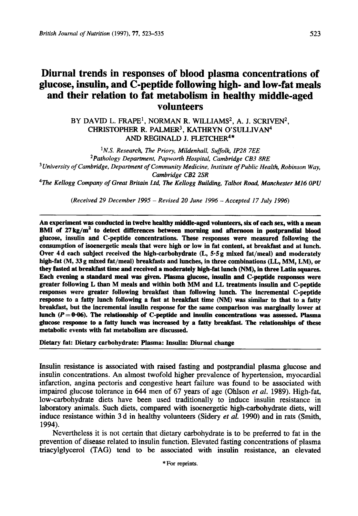# **Diurnal trends in responses of blood plasma concentrations of glucose, insulin, and C-peptide following high- and low-fat meals and their relation to fat metabolism in healthy middle-aged volunteers**

BY DAVID L. **FRAPE',** NORMAN R. WILLIAMS2, A. J. SCRIVEN2, CHRISTOPHER R. PALMER<sup>3</sup>, KATHRYN O'SULLIVAN<sup>4</sup> *AND* **REGINALD** J. FLETCHER4\*

*'N.S. Research, The Priory, Mildenhall, Suffolk, IP28 7EE 2Pathology Department, Papworth Hospital, Cambridge CB3 8RE University of Cambridge, Department of Community Medicine, Institute of Public Health, Robinson Way, Cambridge CB2 2SR* 

**4The** *Kellogg Company of Great Britain Ltd, The Kellogg Building, Talbot Rod Manchester M16 OPU* 

*(Received 29 December 1995* - *Revised 20 June I996* - *Accepted 17 July 1996)* 

An experiment was conducted in twelve healthy middle-aged volunteers, **six** of each **sex,** with a mean **BMI** of 27kg/m2 **to** detect differences between morning and afternoon in postprandial blood glucose, insulin and C-peptide concentrations. These responses were measured following the consumption of isoenergetic meals that were **high** or low in fat content, at breakfast and at lunch. Over **4** d each subject received the high-carbohydrate **(L, 5.5 g** mixed fat/meal) and moderately high-fat **(M,** 33 g mixed fat/meal) breakfasts and lunches, in **three** combinations **(LL, MM, LM), or**  they fasted at breakfast time **and** received a moderately high-fat lunch (NM), in three **Latin squares.**  Each evening a standard meal was given. Plasma glucose, insulin and C-peptide responses were greater following **L** than M meals and within both MM and LL treatments insulin and C-peptide responses were greater following breakfast than following lunch. The incremental C-peptide response to a fatty lunch following a fast at breakfast time **(NM)** was similar to that to a fatty breakfast, but the incremental insulin response for the same comparison was marginally lower at lunch  $(P=0.06)$ . The relationship of C-peptide and insulin concentrations was assessed. Plasma glucose response to **a** fatty lunch was increased by a **fatty** breakfast. The relationships of these metabolic events with fat metabolism are discussed.

Dietary fat: Dietary carbohydrate: Plasma: Insulin: Diurnal change

Insulin resistance is associated with raised fasting and postprandial plasma glucose and insulin concentrations. An almost twofold higher prevalence of hypertension, myocardial infarction, angina pectoris and congestive heart failure was found to be associated with impaired glucose tolerance in **644** men of **67** years of age (Ohlson et *al.* **1989).** High-fat, low-carbohydrate diets have been used traditionally to induce insulin resistance in laboratory animals. Such diets, compared with isoenergetic high-carbohydrate diets, will induce resistance within 3 d in healthy volunteers (Sidery *et al.* 1990) and in **rats** (Smith, **1994).** 

Nevertheless it is not certain that dietary carbohydrate is to be preferred to fat in the prevention of disease related to insulin function. Elevated fasting concentrations of plasma triacylglycerol **(TAG)** tend to be associated with insulin resistance, an elevated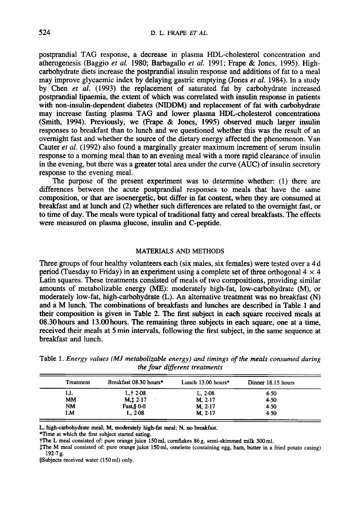postprandial TAG response, a decrease in plasma HDL-cholesterol concentration and atherogenesis (Baggio *et al.* 1980; Barbagallo *et* al. 1991; Frape & Jones, 1995). Highcarbohydrate diets increase the postprandial insulin response and additions of fat to a meal may improve glycaemic index by delaying gastric emptying (Jones *et al.* 1984). In a study by Chen *et* al. (1993) the replacement of saturated fat by carbohydrate increased postprandial lipaemia, the extent of which was correlated with insulin response in patients with non-insulin-dependent diabetes (NIDDM) and replacement of fat with carbohydrate may increase fasting plasma TAG and lower plasma HDL-cholesterol concentrations (Smith, 1994). Previously, we (Frape & Jones, **1995)** observed much larger insulin responses to breakfast than to lunch and we questioned whether this was the result of **an**  overnight fast and whether the source of the dietary energy affected the phenomenon. Van Cauter *et al.* (1992) also found a marginally greater maximum increment of serum insulin response to a morning meal than to an evening meal with a more rapid clearance of insulin in the evening, but there was a greater total area under the curve (AUC) of insulin secretory response to the evening meal.

The purpose of the present experiment was to determine whether: (1) there are differences between the acute postprandial responses to meals that have the same composition, or that are isoenergetic, but differ in fat content, when they are consumed at breakfast and at lunch and (2) whether such differences are related to the overnight fast, or to time of day. The meals were typical of traditional fatty and cereal breakfasts. The effects were measured on plasma glucose, insulin and C-peptide.

## **MATERIALS** AND **METHODS**

Three groups of four healthy volunteers each (six males, six females) were tested over a 4 d period (Tuesday to Friday) in an experiment using a complete set of three orthogonal  $4 \times 4$ Latin squares. These treatments consisted of meals of two compositions, providing similar amounts of metabolizable energy (ME): moderately high-fat, low-carbohydrate (M), or moderately low-fat, high-carbohydrate (L). An alternative treatment was no breakfast (N) and a M lunch. The combinations of breakfasts and lunches are described in Table **1** and their composition is given in Table 2. The first subject in each square received meals at 08.30 hours and **13.00** hours. The remaining three subjects in each square, one at a time, received their meals at 5 min intervals, following the first subject, in the same sequence at breakfast and lunch.

| Treatment | Breakfast 08.30 hours*  | Lunch $13.00$ hours* | Dinner 18.15 hours |
|-----------|-------------------------|----------------------|--------------------|
| LL        | L, 12.08                | L. 2.08              | 4.50               |
| MM        | $M_{1}$ $1$ $2$ $1$ $7$ | M, 2.17              | 4.50               |
| <b>NM</b> | Fast, § 0.0             | $M. 2-17$            | 4.50               |
| LM        | L, 2.08                 | M, 2.17              | 4.50               |

**Table** 1. *Energy values (MJ metabolizable energy) and timings of the meals consumed during the four different treatments* 

**L, high-carbohydrate meal, M, moderately high-fat meal; N, no breakfast.** 

**\*Time at which the first subject started eating.** 

**?The L meal consisted of: pure orange juice 150 ml, cornflakes 86 g, semi-skimmed milk 300** ml.

**\$The M meal consisted of: pure orange juice 150 ml, omelette (containing egg, ham, butter in a fried potato casing) 192.7 g.** 

**\$Subjects received water (150ml) only.**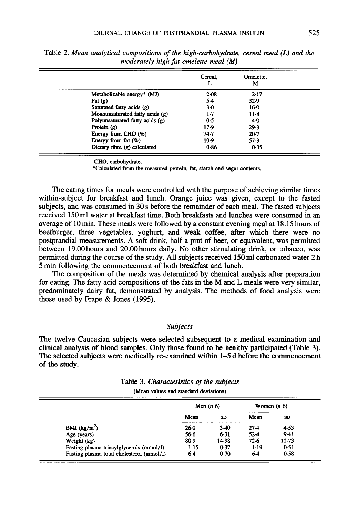|                                 | Cereal.           | Omelette.<br>м |  |
|---------------------------------|-------------------|----------------|--|
| Metabolizable energy* $(MJ)$    | 2.08              | 2.17           |  |
| Fat $(g)$                       | 5.4               | 32.9           |  |
| Saturated fatty acids (g)       | $3-0$             | 16.0           |  |
| Monounsaturated fatty acids (g) | $1-7$             | $11-8$         |  |
| Polyunsaturated fatty acids (g) | 0.5               | 4.0            |  |
| Protein $(g)$                   | 17.9              | 29.3           |  |
| Energy from CHO $(\%)$          | 74.7              | $20-7$         |  |
| Energy from fat (%)             | 10.9 <sub>2</sub> | 57.3           |  |
| Dietary fibre (g) calculated    | 0.86              | 0.35           |  |

Table 2. *Mean analytical compositions of the high-carbohydrate, cereal meal (L) and the moderately high-fat omelette meal (M)* 

**CHO, carbohydrate.** 

**\*Calculated from the measured protein, fat, starch and sugar contents.** 

The eating times for meals were controlled with the purpose of achieving similar times within-subject for breakfast and lunch. Orange juice was given, except to the fasted subjects, and was consumed in 30 s before the remainder of each meal. The fasted subjects received 150 ml water at breakfast time. Both breakfasts and lunches were consumed in an average of 10min. These meals were followed by a constant evening meal at 18.15 hours of beefburger, three vegetables, yoghurt, and weak coffee, after which there were no postprandial measurements. A soft drink, half a pint of beer, or equivalent, was permitted between 19.00 hours and 20.00 hours daily. No other stimulating **drink,** or tobacco, was permitted during the course of the study. All subjects received 150 ml carbonated water 2 h 5 min following the commencement of both breakfast and lunch.

The composition of the meals was determined by chemical analysis after preparation for eating. The fatty acid compositions of the fats in the M and L meals were very similar, predominately dairy fat, demonstrated by analysis. The methods of food analysis were those used by Frape & Jones (1995).

# *Subjects*

The twelve Caucasian subjects were selected subsequent to a medical examination and clinical analysis of blood samples. Only those found to be healthy participated (Table 3). The selected subjects were medically re-examined within **1-5** d before the commencement of the study.

| Table 3. Characteristics of the subjects |  |
|------------------------------------------|--|
| (Mean values and standard deviations)    |  |

|                                           | Men $(n 6)$ |        |        | Women $(n 6)$ |
|-------------------------------------------|-------------|--------|--------|---------------|
|                                           | Mean        | SD     | Mean   | <b>SD</b>     |
| BMI $(kg/m^2)$                            | $26-0$      | $3-40$ | $27-4$ | 4.53          |
| Age (years)                               | 56.6        | $6-31$ | $52-4$ | 9.41          |
| Weight (kg)                               | 80.9        | 14.98  | 72.6   | 12.73         |
| Fasting plasma triacylglycerols (mmol/l)  | 1.15        | 0.37   | $1-19$ | 0.51          |
| Fasting plasma total cholesterol (mmol/l) | 6.4         | 0.70   | 6.4    | 0.58          |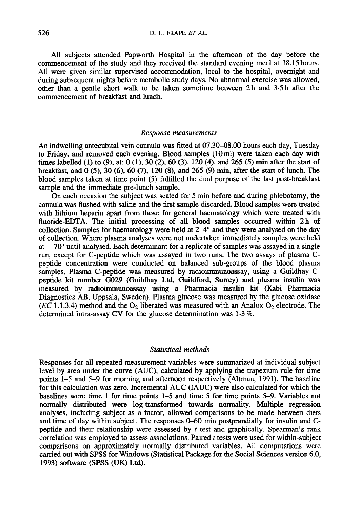All subjects attended Papworth Hospital in the afternoon of the day before the commencement of the study and they received the standard evening meal at 18.15 hours. All were given similar supervised accommodation, local to the hospital, overnight and during subsequent nights before metabolic study days. No abnormal exercise was allowed, other than a gentle short walk to be taken sometime between 2 h and **3-5** h after the commencement of breakfast and lunch.

#### *Response measurements*

An indwelling antecubital vein cannula was fitted at **07.30-08.00** hours each day, Tuesday to Friday, and removed each evening. Blood samples (10ml) were taken each day with times labelled (1) to (9), at: 0 **(l),** 30 (2), 60 **(3),** 120 **(4),** and 265 *(5)* min after the start of breakfast, and 0 **(3,** 30 (6), 60 *(7),* 120 **(8),** and 265 (9) min, after the start of lunch. The blood samples taken at time point (5) fulfilled the dual purpose of the last post-breakfast sample and the immediate pre-lunch sample.

On each occasion the subject was seated for 5 min before and during phlebotomy, the cannula was flushed with saline and the first sample discarded. Blood samples were treated with lithium heparin apart from those for general haematology which were treated with fluoride-EDTA. The initial processing of **all** blood samples occurred within 2h of collection. Samples for haematology were held at  $2-4^{\circ}$  and they were analysed on the day of collection. Where plasma analyses were not undertaken immediately samples were held at  $-70^{\circ}$  until analysed. Each determinant for a replicate of samples was assayed in a single run, except for C-peptide which was assayed in two runs. The two assays of plasma Cpeptide concentration were conducted on balanced sub-groups of the blood plasma samples. Plasma C-peptide was measured by radioimmunoassay , using a Guildhay *C*peptide kit number GO29 (Guildhay Ltd, Guildford, Surrey) and plasma insulin was measured by radioimmunoassay using a Pharmacia insulin kit (Kabi Pharmacia Diagnostics AB, Uppsala, Sweden). Plasma glucose was measured by the glucose oxidase ( $\overline{EC}$  1.1.3.4) method and the  $O_2$  liberated was measured with an Analox  $O_2$  electrode. The determined intra-assay CV for the glucose determination was 1.3 %.

## *Statistical methods*

Responses for all repeated measurement variables were summarized at individual subject level by area under the curve (AUC), calculated by applying the trapezium rule for time points 1-5 and 5-9 for morning and afternoon respectively (Altman, 1991). The baseline for this calculation was zero. Incremental AUC (IAUC) were also calculated for which the baselines were time 1 for time points 1-5 and time *5* for time points 5-9. Variables not normally distributed were log-transformed towards normality. Multiple regression analyses, including subject as a factor, allowed comparisons to be made between diets and time of day within subject. The responses **0-60** min postprandially for insulin and Cpeptide and their relationship were assessed by *t* test and graphically. Spearman's rank correlation was employed to assess associations. Paired *t* tests were used for within-subject comparisons on approximately normally distributed variables. All computations were carried out with SPSS for Windows (Statistical Package for the Social Sciences version 6.0, 1993) software (SPSS (UK) Ltd).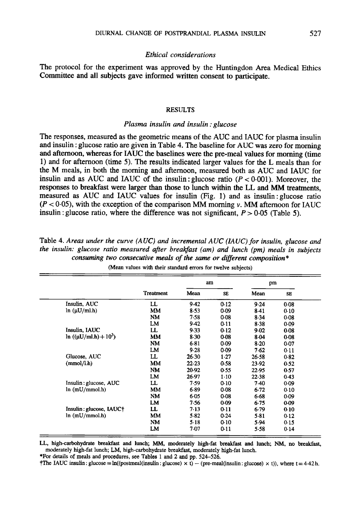# *Ethical considerations*

The protocol for the experiment was approved by the Huntingdon Area Medical Ethics Committee and all subjects gave informed written consent to participate.

## *RESULTS*

## *Plasma insulin and insulin* : *glucose*

The responses, measured as the geometric means of the AUC and IAUC for plasma insulin and insulin : glucose ratio are given in Table **4.** The baseline for AUC was zero for morning and afternoon, whereas for IAUC the baselines were the pre-meal values for morning (time 1) and for afternoon (time *5).* The results indicated larger values for the L meals than for the M meals, in both the morning and afternoon, measured both as AUC and IAUC for insulin and as AUC and IAUC of the insulin : glucose ratio  $(P < 0.001)$ . Moreover, the responses to breakfast were larger than those to lunch within the LL and MM treatments, measured as AUC and IAUC values for insulin (Fig. 1) and as insulin: glucose ratio  $(P < 0.05)$ , with the exception of the comparison MM morning *v*. MM afternoon for IAUC insulin : glucose ratio, where the difference was not significant,  $P > 0.05$  (Table 5).

|                             |                  | am     |           | pm    |      |
|-----------------------------|------------------|--------|-----------|-------|------|
|                             | <b>Treatment</b> | Mean   | <b>SE</b> | Mean  | SE.  |
| Insulin, AUC                | LL               | 9.42   | 0.12      | 9.24  | 0.08 |
| ln (µU/ml.h)                | МM               | 8.53   | 0.09      | 8.41  | 0.10 |
|                             | NM               | 7.58   | 0.08      | 8.34  | 0.08 |
|                             | LM               | 9.42   | 0.11      | 8.38  | 0.09 |
| Insulin, IAUC               | LL               | 9.33   | 0.12      | 9.02  | 0.08 |
| $\ln ((\mu U/ml.h) + 10^3)$ | MM               | $8-30$ | 0.08      | 8.04  | 0.08 |
|                             | NM               | $6-81$ | 0.09      | 8.20  | 0.07 |
|                             | LM               | 9.28   | 0.09      | 7.62  | 0.11 |
| Glucose, AUC                | LL               | 26.30  | 1.27      | 26.58 | 0.82 |
| (mmol/l.h)                  | MM               | 22.23  | 0.58      | 23.92 | 0.52 |
|                             | NM               | 20.92  | 0.55      | 22.95 | 0.57 |
|                             | LM               | 26.97  | $1-10$    | 22.38 | 0.43 |
| Insulin: glucose, AUC       | LL               | 7.59   | 0.10      | 7.40  | 0.09 |
| ln(mU/mmol.h)               | МM               | 6.89   | 0.08      | 6.72  | 0.10 |
|                             | <b>NM</b>        | 6.05   | 0.08      | 6.68  | 0.09 |
|                             | LM               | 7.56   | 0.09      | 6.75  | 0.09 |
| Insulin: glucose, IAUC†     | LL               | $7-13$ | 0.11      | 6.79  | 0.10 |
| ln(mU/mmol.h)               | MМ               | 5.82   | 0.24      | 5.81  | 0.12 |
|                             | NM               | $5-18$ | 0.10      | 5.94  | 0.15 |
|                             | LM               | 7.07   | 0.11      | 5.58  | 0.14 |

Table **4.** *Areas under the curve (AUC) and incremental AUC (IAUC) for insulin, glucose and the insulin: glucose ratio measured after breakfast (am) and lunch (pm) meals in subjects consuming two consecutive mals of the same or different composition\** 

**(Mean values with their standard errors for twelve subjects)** 

**LL, high-carbohydrate breakfast and lunch;** MM, **moderately high-fat breakfast and lunch; NM, no breakfast, moderately high-fat lunch; LM, high-carbohydrate breakfast, moderately high-fat lunch.** 

**\*For details of meals and procedures, see Tables 1 and 2 and pp. 524-526.** 

**†The IAUC insulin : glucose =**  $\ln((\text{postmetal}(\text{insulin})) x \cdot \textbf{t}) - (\text{pre-mcal}(\text{insulin})) x \cdot \textbf{t})$ **, where**  $\textbf{t} = 4.42 \text{ h}$ **.**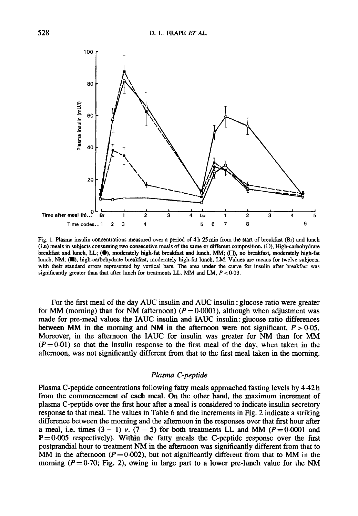

Fig. 1. Plasma insulin concentrations measured over a period of **4** h *25* **min** from the **start** of breakfast (Br) and lunch (Lu) meals in subjects consuming two consecutive meals of the same or different composition. (O), High-carbohydrate breakfast and lunch, **LL;** *(0).* moderately high-fat breakfast and lunch, **MM,** *(0,* no breakfast, moderately high-fat lunch, **NM, (m,** high-carbohydrate breakfast, moderately high-fat lunch, LM. Values **are** means for twelve subjects, with their standard errors represented by vertical bars. The area under the curve for insulin after breakfast was significantly greater than that after lunch for treatments LL, MM and LM, *P* < **0.03.** 

For the first meal of the day AUC insulin and AUC insulin : glucose ratio were greater for MM (morning) than for NM (afternoon)  $(P = 0.0001)$ , although when adjustment was made for pre-meal values the IAUC insulin and **IAUC** insulin: glucose ratio differences between MM in the morning and NM in the afternoon were not significant,  $P > 0.05$ . Moreover, in the afternoon the IAUC for insulin was greater for NM than for MM  $(P=0.01)$  so that the insulin response to the first meal of the day, when taken in the afternoon, was not significantly different from that to the first meal taken in the morning.

## *Plasma C-peptide*

Plasma C-peptide concentrations following fatty meals approached fasting levels by **4.42** h from the commencement of each meal, On the other hand, the maximum increment of plasma C-peptide over the first hour after a meal is considered to indicate insulin secretory response to that meal. The values in Table 6 and the increments in Fig. 2 indicate a striking difference between the morning and the afternoon in the responses over that first hour after a meal, i.e. times  $(3 - 1)$  *v.*  $(7 - 5)$  for both treatments LL and MM  $(P = 0.0001$  and **P=0.005** respectively). Within the fatty meals the C-peptide response over the first postprandial hour to treatment **NM** in the afternoon was significantly different from that to MM in the afternoon  $(P=0.002)$ , but not significantly different from that to MM in the morning  $(P=0.70;$  Fig. 2), owing in large part to a lower pre-lunch value for the NM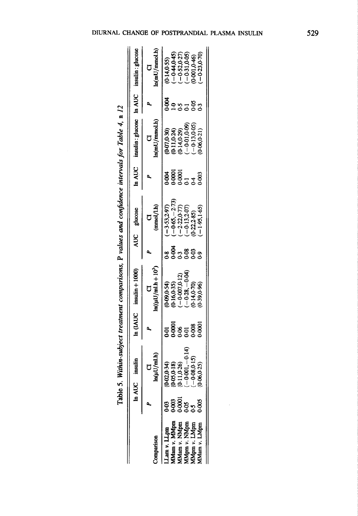|             | ,一个人的时候,我们的时候,我们的时候,我们的时候,我们的时候,我们的时候,我们的时候,我们的时候,我们的时候,我们的时候,我们的时候,我们的时候,我们的时候,我 |
|-------------|-----------------------------------------------------------------------------------|
| ,<br>,<br>, |                                                                                   |
| ה<br>ל      |                                                                                   |

|                                              |              | In AUC insulin                   |    | In $(IAUC$ insulin + 1000) |                                   | AUC glucose                     |                            | In AUC insulin: glucose In AUC insulin: glucose      |                |                                                      |
|----------------------------------------------|--------------|----------------------------------|----|----------------------------|-----------------------------------|---------------------------------|----------------------------|------------------------------------------------------|----------------|------------------------------------------------------|
| nnnarison                                    |              |                                  |    | $ln((\mu U/ml.h + 10^3)$   |                                   | (mmol/Lh)                       |                            | ln(mU/mmol.h)                                        |                | $\ln(mU/mmol.h)$                                     |
| Lam v. LLpm                                  |              | $0 - 02, 0 - 34)$                | 50 | (0.09, 0.54)               |                                   | $-3.53,2.97$                    |                            |                                                      |                | $(0.14, 0.55)$<br>$(-0.44, 0.45)$<br>$(-0.52, 0.27)$ |
| Mam v. MMpm                                  | 800.<br>N    | 0.05, 0.18                       |    | (0.16, 0.35)               |                                   | $-0.65,-2.73$                   |                            |                                                      | 80.04          |                                                      |
|                                              | 0001<br>0.05 | $(0.11, 0.26)$<br>$(-0.001, -0.$ |    | $-0.007, 0.12$             |                                   | $-2.22, 0.77$                   |                            | $(6 - 07, 0.30)$<br>$(0.11, 0.24)$<br>$(0.14, 0.29)$ | $\overline{2}$ |                                                      |
| MMam v. NMpm<br>MMpm v. NMpm<br>MMpm v. LMpm |              | $\frac{4}{14}$                   |    | $-0.28, -0.04$             | , 3<br>8 8 9 9 9 9<br>0 0 0 0 0 0 | $-0.13, 2.07$                   | <b>생명이</b><br>- 1989년<br>- | $-0.01, 0.09$                                        |                | $-0.31, 0.05$                                        |
|                                              |              | $-0.08, 0.15$                    |    | 0.14, 0.70                 |                                   |                                 |                            | $-0.13, 0.05$                                        | $-52$          | 0.001,0.46)                                          |
| $M$ am $\nu$ . L $M$ pm                      |              | 0.06, 0.25)                      |    | (0.39, 0.96)               |                                   | $(0.22,2.85)$<br>$(-1.95,1.65)$ | 0.003                      | (15.0, 0.00, 0.00)                                   |                | $-0.23, 0.70$                                        |

 $\frac{1}{2} \left( \frac{1}{2} \right)$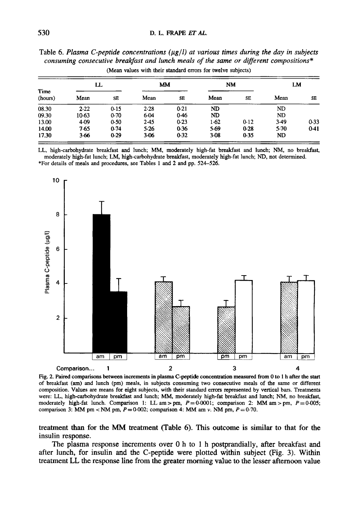|                 | LL      |           |        | <b>MM</b> |           | NM       | LM        |      |
|-----------------|---------|-----------|--------|-----------|-----------|----------|-----------|------|
| Time<br>(hours) | Mean    | <b>SE</b> | Mean   | SE        | Mean      | SE       | Mean      | SE   |
| 08.30           | 2.22    | 0.15      | 2.28   | 0.21      | <b>ND</b> |          | ND        |      |
| 09.30           | $10-63$ | 0.70      | 6.04   | 0.46      | ND        |          | <b>ND</b> |      |
| 13.00           | 4.09    | 0.50      | 2.45   | 0.23      | 1.62      | 0.12     | 3.49      | 0.33 |
| 14.00           | 7.65    | 0.74      | 5.26   | 0.36      | 5.69      | $0 - 28$ | $5-70$    | 0.41 |
| 17.30           | 3.66    | 0.29      | $3-06$ | 0.32      | $3-08$    | 0.35     | ND        |      |

**Table 6.** *Plasma C-peptide concentrations (pgll) at various times during the day in subjects consuming consecutive breakfast and lunch meals* of *the same or different compositions"*  (Mean values with their standard errors for twelve subjects)

LL, high-carbohydrate breakfast and lunch; MM, moderately high-fat breakfast and lunch; NM, no breakfast, \*For details of meals and procedures, see Tables **1** and 2 and pp. **524-526.**  moderately high-fat lunch; LM, high-carbohydrate breakfast, moderately high-fat lunch; ND, not determined.



Fig. **2. Paired** comparisons between increments in plasma **C-peptide** concentration measured **from** 0 to 1 h after the start of breakfast **(am)** and lunch (pm) meals, in subjects consuming two consecutive meals of the same or different composition. Values are means for eight subjects, with their standard errors represented by vertical bars. Treatments were: LL, high-carbohydrate breakfast and lunch; MM, moderately high-fat breakfast and lunch; NM, no breakfast, moderately high-fat lunch. Comparison 1: LL am > pm,  $P = 0.0001$ ; comparison 2: MM am > pm,  $P = 0.005$ ; comparison 3: MM pm  $\lt NM$  pm,  $P = 0.002$ ; comparison 4: MM am *v*. NM pm,  $P = 0.70$ .

**treatment than for the** MM **treatment (Table 6). This outcome is similar to that for the insulin response.** 

**The plasma response increments over 0 h to 1 h postprandially, after breakfast and after lunch, for insulin** and **the C-peptide were plotted within subject (Fig. 3). Within treatment LL the response line from the greater morning value to the lesser afternoon value**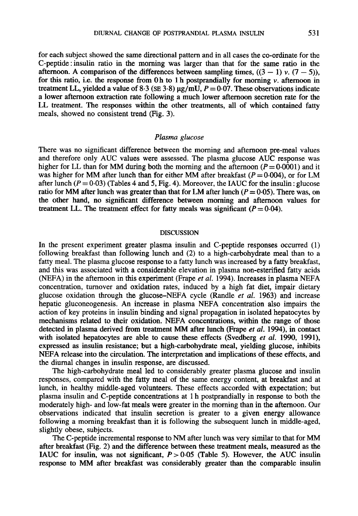for each subject showed the same directional pattern and in all cases the co-ordinate for the C-peptide: insulin ratio in the morning was larger than that for the same ratio in the afternoon. A comparison of the differences between sampling times,  $((3 - 1) v. (7 - 5))$ , for this ratio, i.e. the response from 0 h to 1 h postprandially for morning *v.* afternoon in treatment LL, yielded a value of 8.3 (SE 3.8)  $\mu$ g/mU,  $P = 0.07$ . These observations indicate a lower afternoon extraction rate following a much lower afternoon secretion rate for the LL treatment. The responses within the other treatments, all of which contained fatty meals, showed no consistent trend (Fig. 3).

# *Plasma glucose*

There was no significant difference between the morning and afternoon pre-meal values and therefore only AUC values were assessed. The plasma glucose **AUC** response was higher for LL than for MM during both the morning and the afternoon  $(P=0.0001)$  and it was higher for MM after lunch than for either MM after breakfast  $(P = 0.004)$ , or for LM after lunch  $(P = 0.03)$  (Tables 4 and 5, Fig. 4). Moreover, the IAUC for the insulin : glucose ratio for MM after lunch was greater than that for LM after lunch ( $P = 0.05$ ). There was, on the other hand, no significant difference between morning and afternoon values for treatment LL. The treatment effect for fatty meals was significant  $(P=0.04)$ .

# **DISCUSSION**

In the present experiment greater plasma insulin and C-peptide responses occurred (1) following breakfast than following lunch and (2) to a high-carbohydrate meal than to a fatty meal. The plasma glucose response to a fatty lunch was increased by a fatty breakfast, and this was associated with a considerable elevation in plasma non-esterified fatty acids (NEFA) in the afternoon in this experiment (Frape *et al.* 1994). Increases in plasma **NEFA**  concentration, turnover and oxidation rates, induced by a high fat diet, impair dietary glucose oxidation through the glucose-NEFA cycle (Randle *et al.* 1963) and increase hepatic gluconeogenesis. An increase in plasma NEFA concentration also impairs the action of key proteins in insulin binding and signal propagation in isolated hepatocytes by mechanisms related to their oxidation. **NEFA** concentrations, within the range of those detected in plasma derived from treatment MM after lunch (Frape *et al.* 1994), in contact with isolated hepatocytes are able to cause these effects (Svedberg *et al.* 1990, 1991), expressed as insulin resistance; but a high-carbohydrate meal, yielding glucose, inhibits **NEFA** release into the circulation. The interpretation and implications of these effects, and the diurnal changes in insulin response, are discussed.

The high-carbohydrate meal led to considerably greater plasma glucose and insulin responses, compared with the fatty meal of the same energy content, at breakfast and at lunch, in healthy middle-aged volunteers. These effects accorded with expectation; but plasma insulin and C-peptide concentrations at 1 h postprandially in response to both the moderately high- and low-fat meals were greater in the morning than in the afternoon. Our observations indicated that insulin secretion is greater to a given energy allowance following a morning breakfast than it is following the subsequent lunch in middle-aged, slightly obese, subjects.

The C-peptide incremental response to NM after lunch was very similar to that for MM after breakfast (Fig. 2) and the difference between these treatment meals, measured as the **IAUC** for insulin, was not significant,  $P > 0.05$  (Table 5). However, the AUC insulin response to MM after breakfast was considerably greater **than** the comparable insulin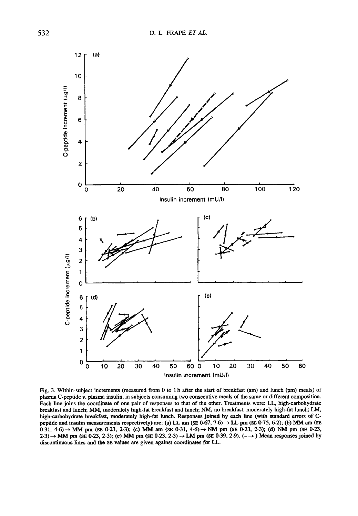

Fig. 3. Within-subject increments (measured from *0* to 1 h after the **start** of breakfast (am) and lunch (pm) meals) of plasma C-peptide *v.* plasma insulin, in subjects consuming two consecutive meals of the same or different composition. Each line joins the coordinate of one pair of responses to that of the other. Treatments were: LL, high-carbohydrate breakfast and lunch; MM, moderately high-fat breakfast and lunch; **NM,** no breakfast, moderately high-fat lunch; LM, high-carbohydrate breakfast, moderately high-fat lunch. Responses joined by each line (with standard errors of Cpeptide and insulin measurements respectively) are: (a) LL am  $(SE 0.67, 7.6) \rightarrow LL$  pm  $(SE 0.75, 6.2)$ ; (b) MM am  $(SE 0.75, 6.2)$ **2.3)** + MM pm **(SE 0.23, 2.3);** (e) MM pm **(SE 0.23,2.3)** -+ **LM** pm **(SE 0.39,2.9).** (-+ ) **Mean** responses joined by discontinuous lines and the **SE** values are given against coordinates for LL.  $0.31$ ,  $4.6$ )  $\rightarrow$  MM pm (SE 0.23, 2.3); (c) MM am (SE 0.31,  $4.6$ )  $\rightarrow$  NM pm (SE 0.23, 2.3); (d) NM pm (SE 0.23,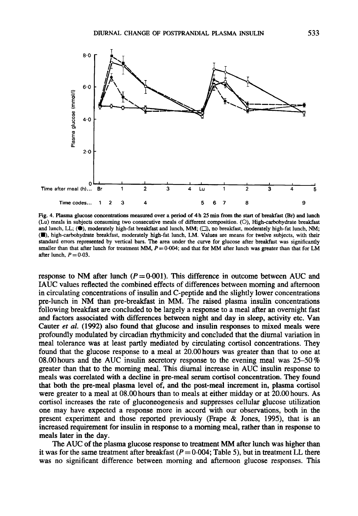

**Fig. 4. Plasma glucose concentrations measured over a period of 4 h 25 min from** the **start of breakfast (Br) and lunch (Lu) meals in subjects consuming two consecutive meals of different composition.** *(0).* **High-carbohydrate breakfast**  and lunch, LL;  $(\bullet)$ , moderately high-fat breakfast and lunch, MM;  $(\square)$ , no breakfast, moderately high-fat lunch, NM; **(W), high-carbohydrate breakfast, moderately high-fat lunch, LM. Values are means for twelve subjects, with their standard errors represented by vertical bars. The area under the curve for glucose** after **breakfast was significantly**  smaller than that after lunch for treatment  $MM$ ,  $P = 0.004$ ; and that for  $MM$  after lunch was greater than that for  $LM$ after lunch,  $P = 0.03$ .

response to NM after lunch  $(P=0.001)$ . This difference in outcome between AUC and IAUC values reflected the combined effects of differences between morning and afternoon in circulating concentrations of insulin and C-peptide and the slightly lower concentrations pre-lunch in NM than pre-breakfast in MM. The raised plasma insulin concentrations following breakfast are concluded to be largely a response to a meal after an overnight fast and factors associated with differences between night and day in sleep, activity etc. Van Cauter *ef al.* (1992) also found that glucose and insulin responses to mixed meals were profoundly modulated by circadian rhythmicity and concluded that the diurnal variation in meal tolerance was at least partly mediated by circulating cortisol concentrations. They found that the glucose response to a meal at 20.00 hours was greater than that to one at 08.00 hours and the AUC insulin secretory response to the evening meal was  $25-50\%$ greater than that to the morning meal. This diurnal increase in AUC insulin response to meals was correlated with a decline in pre-meal serum cortisol concentration. They found that both the pre-meal plasma level of, and the post-meal increment in, plasma cortisol were greater to a meal at **08.00** hours than to meals at either midday or at 20.00 hours. As cortisol increases the rate of gluconeogenesis and suppresses cellular glucose utilization one may have expected a response more in accord with our observations, both in the present experiment and those reported previously (Frape & Jones, 1995), that is an increased requirement for insulin in response to a morning meal, rather than in response to meals later in the **day.** 

The AUC of the plasma glucose response to treatment MM after lunch **was** higher than it was for the same treatment after breakfast  $(P = 0.004$ ; Table 5), but in treatment LL there was no significant difference between morning and afternoon glucose responses. This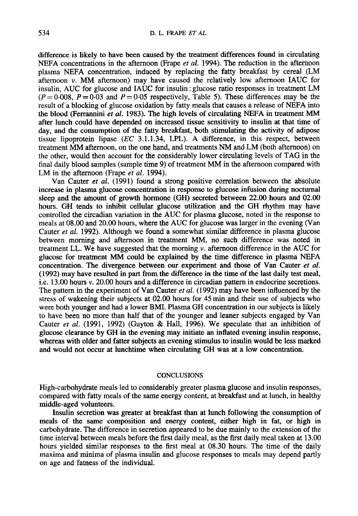difference is likely to have been caused by the treatment differences found in circulating NEFA concentrations in the afternoon (Frape et *al.* 1994). The reduction in the afternoon plasma NEFA concentration, induced by replacing the fatty breakfast by cereal (LM afternoon *v.* MM afternoon) may have caused the relatively low afternoon IAUC for insulin, AUC for glucose and IAUC for insulin : glucose ratio responses in treatment LM  $(P=0.008, P=0.03$  and  $P=0.05$  respectively, Table 5). These differences may be the result of a blocking of glucose oxidation by fatty meals that causes a release of NEFA into the blood (Ferrannini et *al.* 1983). The high levels of circulating NEFA in treatment MM after lunch could have depended on increased tissue sensitivity to insulin at that time of day, and the consumption of the fatty breakfast, both stimulating the activity of adipose tissue lipoprotein lipase  $(EC \ 3.1.1.34, LPL)$ . A difference, in this respect, between treatment MM afternoon, on the one hand, and treatments NM and LM (both afternoon) on the other, would then account for the considerably lower circulating levels of TAG in the final daily blood samples (sample time 9) of treatment MM in the afternoon compared with LM in the afternoon (Frape *et al.* 1994).

Van Cauter et *al.* (1991) found a strong positive correlation between the absolute increase in plasma glucose concentration in response to glucose infusion during nocturnal sleep and the amount of growth hormone **(GH)** secreted between 22.00 hours and 02.00 hours. GH tends to inhibit cellular glucose utilization and the GH rhythm may have controlled the circadian variation in the AUC for plasma glucose, noted in the response to meals at 08.00 and 20.00 hours, where the AUC for glucose was larger in the evening (Van Cauter et *al.* 1992). Although we found a somewhat similar difference in plasma glucose between morning and afternoon in treatment MM, no such difference was noted in treatment LL. We have suggested that the morning  $\nu$ . afternoon difference in the AUC for glucose for treatment MM could be explained by the time difference in plasma NEFA concentration. The divergence between our experiment and those of Van Cauter et *al.*  (1992) may have resulted in part from the difference in the time of the last daily test meal, i.e. 13.00 hours *v.* 20.00 hours and a difference in circadian pattern in endocrine secretions. The pattern in the experiment of **Van** Cauter et *al.* (1992) may have been influenced by the stress of wakening their subjects at 02.00 hours for 45 min and their use of subjects who were both younger and had a lower BMI. Plasma GH concentration in our subjects is likely to have been no more than half that of the younger and leaner subjects engaged by Van Cauter *et al.* (1991, 1992) (Guyton & Hall, 1996). We speculate that an inhibition of glucose clearance by GH in the evening may initiate an inflated evening insulin response, whereas with older and fatter subjects an evening stimulus to insulin would be less marked and would not occur at lunchtime when circulating GH was at a low concentration.

#### **CONCLUSIONS**

High-carbohydrate meals led to considerably greater plasma glucose and insulin responses, compared with fatty meals of the same energy content, at breakfast and at lunch, in healthy middle-aged volunteers.

Insulin secretion was greater at breakfast than at lunch following the consumption of meals of the same composition and energy content, either high in fat, or high in carbohydrate. The difference in secretion appeared to be due mainly to the extension of the time interval between meals before the first daily meal, as the first daily meal taken at 13.00 hours yielded similar responses to the first meal at 08.30 hours. The time of the daily maxima and minima of plasma insulin and glucose responses to meals may depend partly on age and fatness of the individual.